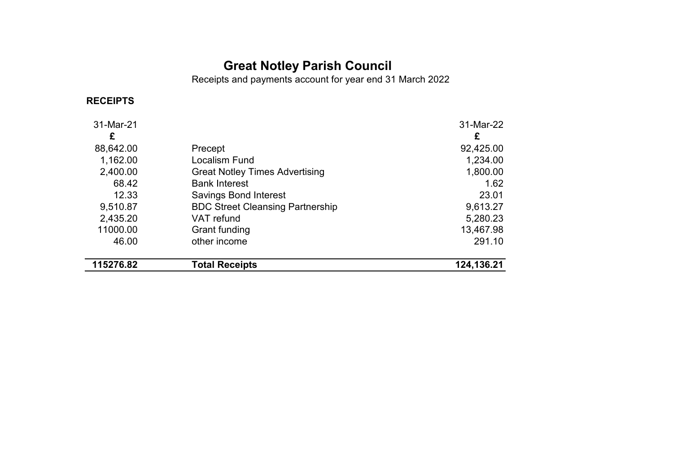# **Great Notley Parish Council**

Receipts and payments account for year end 31 March 2022

# **RECEIPTS**

| 11000.00<br>46.00 | Grant funding<br>other income           | 13,467.98<br>291.10 |
|-------------------|-----------------------------------------|---------------------|
| 2,435.20          | VAT refund                              | 5,280.23            |
| 9,510.87          | <b>BDC Street Cleansing Partnership</b> | 9,613.27            |
| 12.33             | <b>Savings Bond Interest</b>            | 23.01               |
| 68.42             | <b>Bank Interest</b>                    | 1.62                |
| 2,400.00          | <b>Great Notley Times Advertising</b>   | 1,800.00            |
| 1,162.00          | <b>Localism Fund</b>                    | 1,234.00            |
| 88,642.00         | Precept                                 | 92,425.00           |
| £                 |                                         | £                   |
| 31-Mar-21         |                                         | 31-Mar-22           |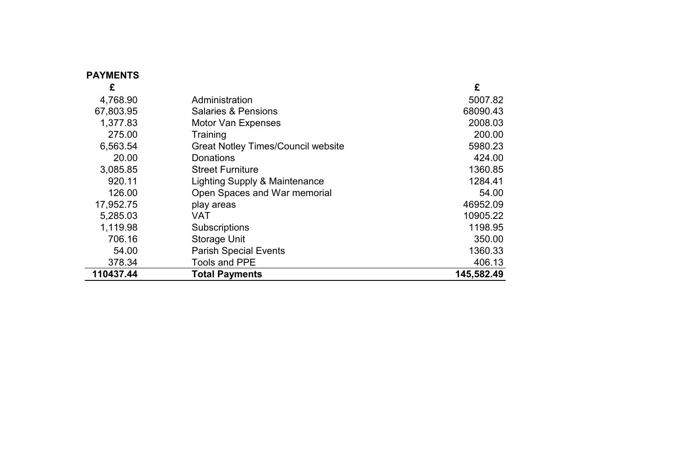| <b>PAYMENTS</b> |                                           |            |
|-----------------|-------------------------------------------|------------|
| £               |                                           | £          |
| 4,768.90        | Administration                            | 5007.82    |
| 67,803.95       | <b>Salaries &amp; Pensions</b>            | 68090.43   |
| 1,377.83        | <b>Motor Van Expenses</b>                 | 2008.03    |
| 275.00          | Training                                  | 200.00     |
| 6,563.54        | <b>Great Notley Times/Council website</b> | 5980.23    |
| 20.00           | Donations                                 | 424.00     |
| 3,085.85        | <b>Street Furniture</b>                   | 1360.85    |
| 920.11          | Lighting Supply & Maintenance             | 1284.41    |
| 126.00          | Open Spaces and War memorial              | 54.00      |
| 17,952.75       | play areas                                | 46952.09   |
| 5,285.03        | VAT                                       | 10905.22   |
| 1,119.98        | Subscriptions                             | 1198.95    |
| 706.16          | Storage Unit                              | 350.00     |
| 54.00           | <b>Parish Special Events</b>              | 1360.33    |
| 378.34          | <b>Tools and PPE</b>                      | 406.13     |
| 110437.44       | <b>Total Payments</b>                     | 145,582.49 |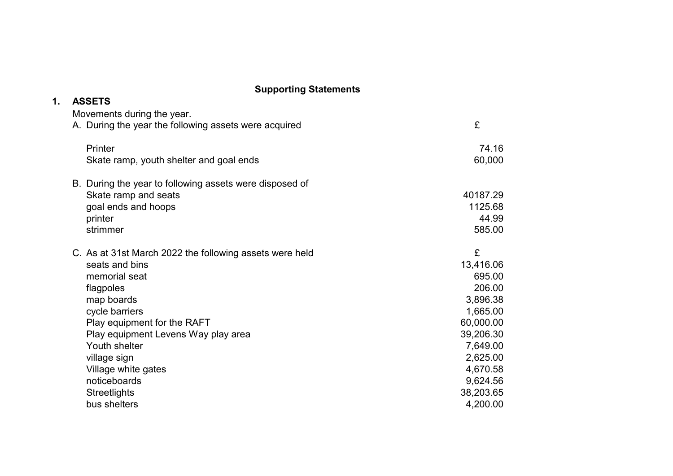| 1. | <b>ASSETS</b>                                           |           |
|----|---------------------------------------------------------|-----------|
|    | Movements during the year.                              |           |
|    | A. During the year the following assets were acquired   | £         |
|    | Printer                                                 | 74.16     |
|    | Skate ramp, youth shelter and goal ends                 | 60,000    |
|    | B. During the year to following assets were disposed of |           |
|    | Skate ramp and seats                                    | 40187.29  |
|    | goal ends and hoops                                     | 1125.68   |
|    | printer                                                 | 44.99     |
|    | strimmer                                                | 585.00    |
|    | C. As at 31st March 2022 the following assets were held | £         |
|    | seats and bins                                          | 13,416.06 |
|    | memorial seat                                           | 695.00    |
|    | flagpoles                                               | 206.00    |
|    | map boards                                              | 3,896.38  |
|    | cycle barriers                                          | 1,665.00  |
|    | Play equipment for the RAFT                             | 60,000.00 |
|    | Play equipment Levens Way play area                     | 39,206.30 |
|    | Youth shelter                                           | 7,649.00  |
|    | village sign                                            | 2,625.00  |
|    | Village white gates                                     | 4,670.58  |
|    | noticeboards                                            | 9,624.56  |
|    | <b>Streetlights</b>                                     | 38,203.65 |
|    | bus shelters                                            | 4,200.00  |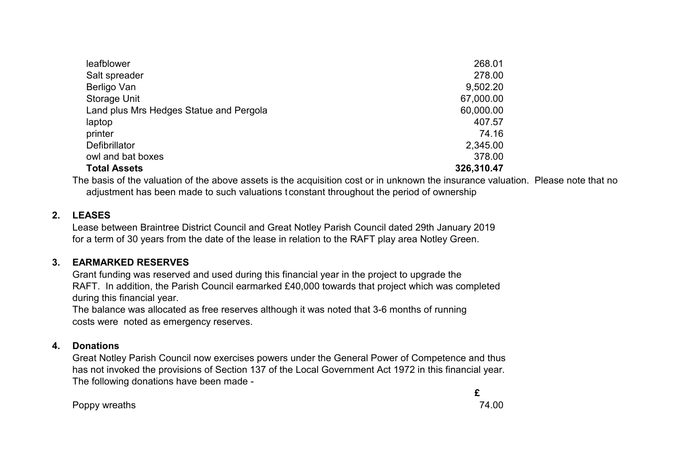| leafblower                              | 268.01     |
|-----------------------------------------|------------|
| Salt spreader                           | 278.00     |
| Berligo Van                             | 9,502.20   |
| <b>Storage Unit</b>                     | 67,000.00  |
| Land plus Mrs Hedges Statue and Pergola | 60,000.00  |
| laptop                                  | 407.57     |
| printer                                 | 74.16      |
| Defibrillator                           | 2,345.00   |
| owl and bat boxes                       | 378.00     |
| <b>Total Assets</b>                     | 326,310.47 |

The basis of the valuation of the above assets is the acquisition cost or in unknown the insurance valuation. Please note that no adjustment has been made to such valuations t constant throughout the period of ownership

### **2. LEASES**

Lease between Braintree District Council and Great Notley Parish Council dated 29th January 2019 for a term of 30 years from the date of the lease in relation to the RAFT play area Notley Green.

### **3. EARMARKED RESERVES**

Grant funding was reserved and used during this financial year in the project to upgrade the RAFT. In addition, the Parish Council earmarked £40,000 towards that project which was completed during this financial year.

The balance was allocated as free reserves although it was noted that 3-6 months of running costs were noted as emergency reserves.

### **4. Donations**

Great Notley Parish Council now exercises powers under the General Power of Competence and thus has not invoked the provisions of Section 137 of the Local Government Act 1972 in this financial year. The following donations have been made -

Poppy wreaths 74.00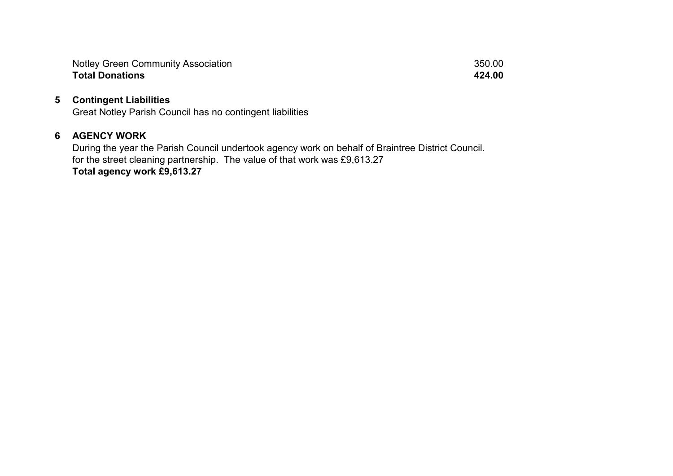Notley Green Community Association 350.00<br> **Total Donations** 350.00 **Total Donations** 

#### **5 Contingent Liabilities**

Great Notley Parish Council has no contingent liabilities

### **6 AGENCY WORK**

During the year the Parish Council undertook agency work on behalf of Braintree District Council. for the street cleaning partnership. The value of that work was £9,613.27 **Total agency work £9,613.27**